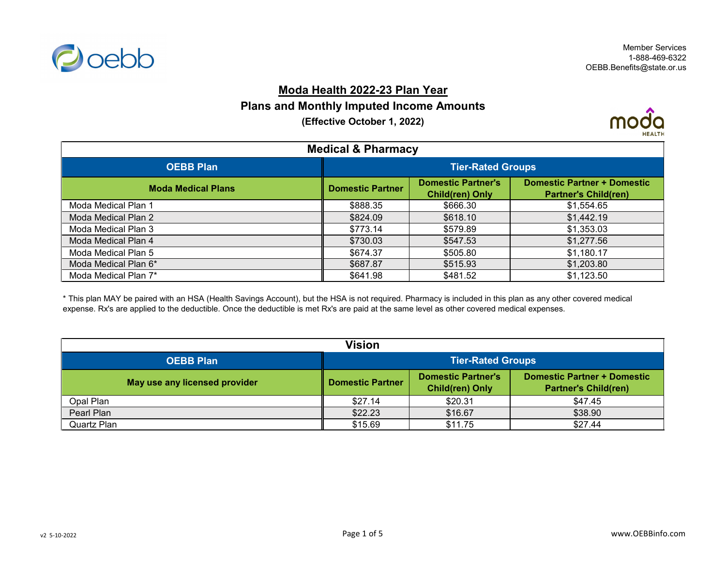

## **Moda Health 2022-23 Plan Year**

## **Plans and Monthly Imputed Income Amounts**

**(Effective October 1, 2022)**



| <b>Medical &amp; Pharmacy</b> |                          |                                                     |                                                                   |
|-------------------------------|--------------------------|-----------------------------------------------------|-------------------------------------------------------------------|
| <b>OEBB Plan</b>              | <b>Tier-Rated Groups</b> |                                                     |                                                                   |
| <b>Moda Medical Plans</b>     | <b>Domestic Partner</b>  | <b>Domestic Partner's</b><br><b>Child(ren) Only</b> | <b>Domestic Partner + Domestic</b><br><b>Partner's Child(ren)</b> |
| Moda Medical Plan 1           | \$888.35                 | \$666.30                                            | \$1,554.65                                                        |
| Moda Medical Plan 2           | \$824.09                 | \$618.10                                            | \$1,442.19                                                        |
| Moda Medical Plan 3           | \$773.14                 | \$579.89                                            | \$1,353.03                                                        |
| Moda Medical Plan 4           | \$730.03                 | \$547.53                                            | \$1,277.56                                                        |
| Moda Medical Plan 5           | \$674.37                 | \$505.80                                            | \$1,180.17                                                        |
| Moda Medical Plan 6*          | \$687.87                 | \$515.93                                            | \$1,203.80                                                        |
| Moda Medical Plan 7*          | \$641.98                 | \$481.52                                            | \$1,123.50                                                        |

\* This plan MAY be paired with an HSA (Health Savings Account), but the HSA is not required. Pharmacy is included in this plan as any other covered medical expense. Rx's are applied to the deductible. Once the deductible is met Rx's are paid at the same level as other covered medical expenses.

| <b>Vision</b>                 |                          |                                                     |                                                            |
|-------------------------------|--------------------------|-----------------------------------------------------|------------------------------------------------------------|
| <b>OEBB Plan</b>              | <b>Tier-Rated Groups</b> |                                                     |                                                            |
| May use any licensed provider | <b>Domestic Partner</b>  | <b>Domestic Partner's</b><br><b>Child(ren) Only</b> | Domestic Partner + Domestic<br><b>Partner's Child(ren)</b> |
| Opal Plan                     | \$27.14                  | \$20.31                                             | \$47.45                                                    |
| Pearl Plan                    | \$22.23                  | \$16.67                                             | \$38.90                                                    |
| Quartz Plan                   | \$15.69                  | \$11.75                                             | \$27.44                                                    |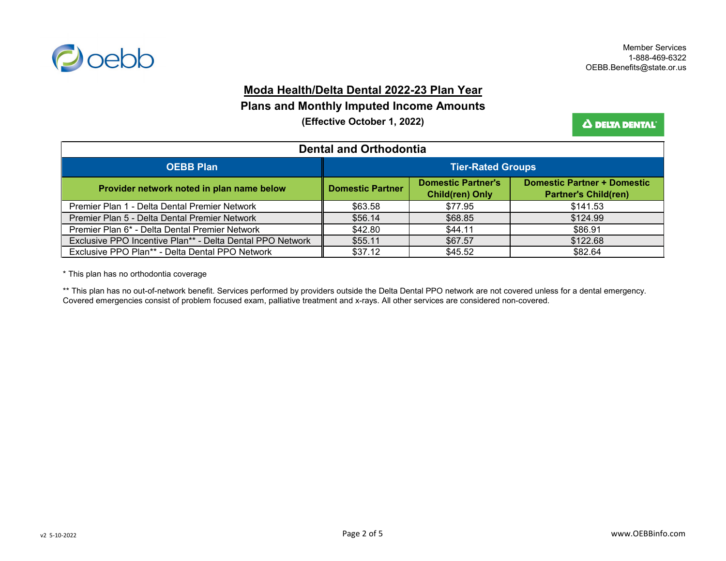

### **Moda Health/Delta Dental 2022-23 Plan Year**

#### **Plans and Monthly Imputed Income Amounts**

**(Effective October 1, 2022)**

Δ DELTA DENTAL'

| <b>Dental and Orthodontia</b>                             |                          |                                                     |                                                                   |
|-----------------------------------------------------------|--------------------------|-----------------------------------------------------|-------------------------------------------------------------------|
| <b>OEBB Plan</b>                                          | <b>Tier-Rated Groups</b> |                                                     |                                                                   |
| Provider network noted in plan name below                 | <b>Domestic Partner</b>  | <b>Domestic Partner's</b><br><b>Child(ren) Only</b> | <b>Domestic Partner + Domestic</b><br><b>Partner's Child(ren)</b> |
| Premier Plan 1 - Delta Dental Premier Network             | \$63.58                  | \$77.95                                             | \$141.53                                                          |
| Premier Plan 5 - Delta Dental Premier Network             | \$56.14                  | \$68.85                                             | \$124.99                                                          |
| Premier Plan 6* - Delta Dental Premier Network            | \$42.80                  | \$44.11                                             | \$86.91                                                           |
| Exclusive PPO Incentive Plan** - Delta Dental PPO Network | \$55.11                  | \$67.57                                             | \$122.68                                                          |
| Exclusive PPO Plan** - Delta Dental PPO Network           | \$37.12                  | \$45.52                                             | \$82.64                                                           |

\* This plan has no orthodontia coverage

\*\* This plan has no out-of-network benefit. Services performed by providers outside the Delta Dental PPO network are not covered unless for a dental emergency. Covered emergencies consist of problem focused exam, palliative treatment and x-rays. All other services are considered non-covered.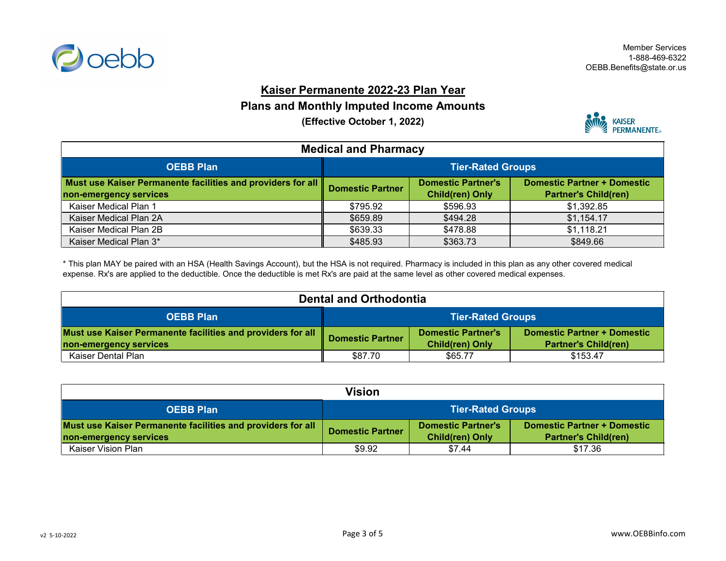

## **Kaiser Permanente 2022-23 Plan Year**

### **Plans and Monthly Imputed Income Amounts**

**(Effective October 1, 2022)**



| <b>Medical and Pharmacy</b>                                                           |                          |                                                     |                                                                   |
|---------------------------------------------------------------------------------------|--------------------------|-----------------------------------------------------|-------------------------------------------------------------------|
| <b>OEBB Plan</b>                                                                      | <b>Tier-Rated Groups</b> |                                                     |                                                                   |
| Must use Kaiser Permanente facilities and providers for all<br>non-emergency services | <b>Domestic Partner</b>  | <b>Domestic Partner's</b><br><b>Child(ren) Only</b> | <b>Domestic Partner + Domestic</b><br><b>Partner's Child(ren)</b> |
| Kaiser Medical Plan 1                                                                 | \$795.92                 | \$596.93                                            | \$1,392.85                                                        |
| Kaiser Medical Plan 2A                                                                | \$659.89                 | \$494.28                                            | \$1,154.17                                                        |
| Kaiser Medical Plan 2B                                                                | \$639.33                 | \$478.88                                            | \$1,118.21                                                        |
| Kaiser Medical Plan 3*                                                                | \$485.93                 | \$363.73                                            | \$849.66                                                          |

\* This plan MAY be paired with an HSA (Health Savings Account), but the HSA is not required. Pharmacy is included in this plan as any other covered medical expense. Rx's are applied to the deductible. Once the deductible is met Rx's are paid at the same level as other covered medical expenses.

| <b>Dental and Orthodontia</b>                                                         |                          |                                                     |                                                                   |
|---------------------------------------------------------------------------------------|--------------------------|-----------------------------------------------------|-------------------------------------------------------------------|
| <b>OEBB Plan</b>                                                                      | <b>Tier-Rated Groups</b> |                                                     |                                                                   |
| Must use Kaiser Permanente facilities and providers for all<br>non-emergency services | <b>Domestic Partner</b>  | <b>Domestic Partner's</b><br><b>Child(ren) Only</b> | <b>Domestic Partner + Domestic</b><br><b>Partner's Child(ren)</b> |
| Kaiser Dental Plan                                                                    | \$87.70                  | \$65.77                                             | \$153.47                                                          |

| <b>Vision</b>                                               |                          |                           |                                    |
|-------------------------------------------------------------|--------------------------|---------------------------|------------------------------------|
| <b>OEBB Plan</b>                                            | <b>Tier-Rated Groups</b> |                           |                                    |
| Must use Kaiser Permanente facilities and providers for all | <b>Domestic Partner</b>  | <b>Domestic Partner's</b> | <b>Domestic Partner + Domestic</b> |
| non-emergency services                                      |                          | <b>Child(ren) Only</b>    | <b>Partner's Child(ren)</b>        |
| Kaiser Vision Plan                                          | \$9.92                   | \$7.44                    | \$17.36                            |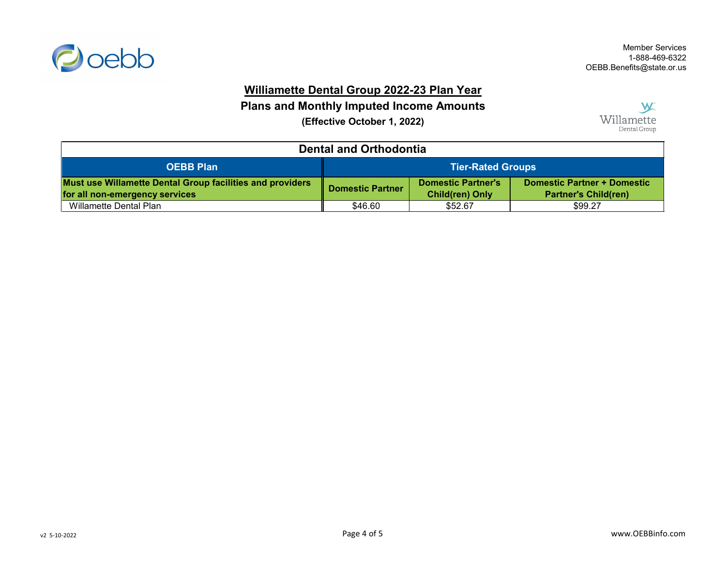

# **Williamette Dental Group 2022-23 Plan Year**

**Plans and Monthly Imputed Income Amounts**

**(Effective October 1, 2022)**



| <b>Dental and Orthodontia</b>                                                                      |                          |                                                     |                                                                   |
|----------------------------------------------------------------------------------------------------|--------------------------|-----------------------------------------------------|-------------------------------------------------------------------|
| <b>OEBB Plan</b>                                                                                   | <b>Tier-Rated Groups</b> |                                                     |                                                                   |
| <b>Must use Willamette Dental Group facilities and providers</b><br>for all non-emergency services | <b>Domestic Partner</b>  | <b>Domestic Partner's</b><br><b>Child(ren) Only</b> | <b>Domestic Partner + Domestic</b><br><b>Partner's Child(ren)</b> |
| Willamette Dental Plan                                                                             | \$46.60                  | \$52.67                                             | \$99.27                                                           |